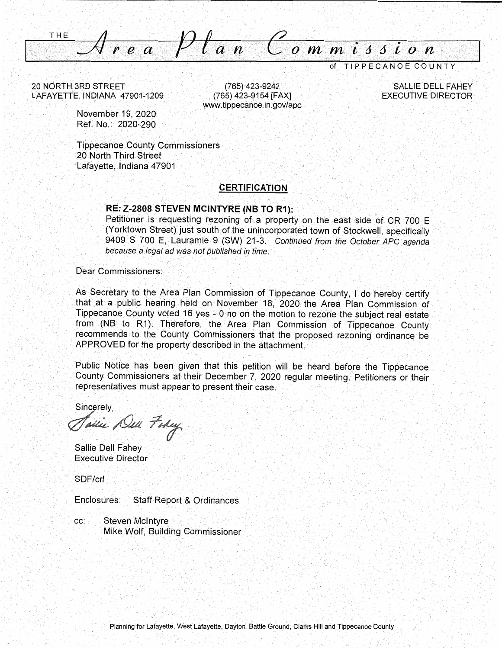**THE** ea Plan Commission

of TIPPECANOE COUNTY

20 NORTH 3RD STREET LAFAYETTE, INDIANA 47901-1209

(765) 423-9242 (765) 423-9154 [FAX] www.tippecanoe.in.gov/apc

**SALLIE DELL FAHEY EXECUTIVE DIRECTOR** 

November 19, 2020 Ref. No.: 2020-290

**Tippecanoe County Commissioners** 20 North Third Street Lafayette, Indiana 47901

#### **CERTIFICATION**

#### RE: Z-2808 STEVEN MCINTYRE (NB TO R1):

Petitioner is requesting rezoning of a property on the east side of CR 700 E (Yorktown Street) just south of the unincorporated town of Stockwell, specifically 9409 S 700 E, Lauramie 9 (SW) 21-3. Continued from the October APC agenda because a legal ad was not published in time.

Dear Commissioners:

As Secretary to the Area Plan Commission of Tippecanoe County, I do hereby certify that at a public hearing held on November 18, 2020 the Area Plan Commission of Tippecanoe County voted 16 yes - 0 no on the motion to rezone the subject real estate from (NB to R1). Therefore, the Area Plan Commission of Tippecanoe County recommends to the County Commissioners that the proposed rezoning ordinance be APPROVED for the property described in the attachment.

Public Notice has been given that this petition will be heard before the Tippecanoe County Commissioners at their December 7, 2020 regular meeting. Petitioners or their representatives must appear to present their case.

Sincerely,

Todie Dell Fohey

Sallie Dell Fahev **Executive Director** 

SDF/crl

**Staff Report & Ordinances** Enclosures:

cc: **Steven McIntyre** Mike Wolf, Building Commissioner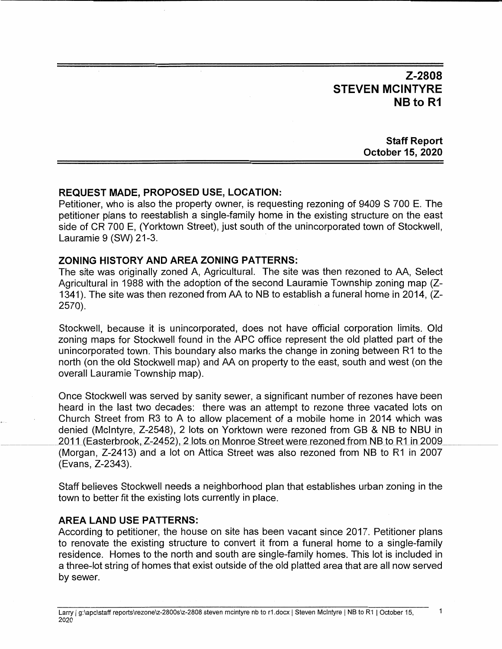$Z-2808$ STEVEN MCINTYRE NB to R1

> **Staff Report October** 15, **2020**

# **REQUEST MADE,** PROPOSED **USE, LOCATION:**

I

<u>III.aasta</u>

**Petitioner,** who is also the property owner, is requesting rezoning of 9409 S 700 E. The petitioner **plans** to reestablish a single-family home in the existing structure on the east **side** of CR 700 E, (Yorktown Street), just south of the unincorporated town of Stockwell, Lauramie 9 (SW) 21-3. '

# **ZONING HISTORY** AND **AREA ZONING PATTERNS:**

The **site** was originally zoned A, Agricultural. The site was then rezoned to AA, Select **Agricultural** in 1988 with the adoption of the second Lauramie Township zoning map (Z-1341). The site was then rezoned from AA to NB to establish **a** funeral home in 2014, (Z-2570). *,* 

Stockwell, because it is unincorporated, does not have official corporation limits. Old zoning maps for Stockwell found in the APC office represent the old platted part of the unincorporated town. This boundary also marks the change in zoning between R1 to the north (on the old Stockwell map) and AA on property to the **east, south** and west (on the overall Lauramie Township map).

Once Stockwell was served by sanity sewer, a significant number of rezones have been **heard** in the last two decades: there was an attempt to rezone three vacated **lots** on Church Street from R3 to A to allow placement of a mobile home in 2014 which was denied (McIntyre, Z-2548), 2 **lots** on Yorktown were rezoned from GB & NB to NBU in 2011 (Easterbrook, Z-2452), 2 lots on Monroe Street were rezoned from NB to R1 in 2009 (Morgan, Z-2413) and a lot on Attica Street was also rezoned from NB to R1 in 2007 (Evans, Z-2343).

**Staff** believes Stockwell needs a neighborhood plan **that** establishes urban zoning in the town to better fit the existing **lots** currently in place.

#### AREA **LAND** USE **PATTERNS:**

According to petitioner, the house on **site** has been vacant since 2017. Petitioner plans to renovate the **existing** structure to convert it from a funeral home to **a** single-family residence. Homes to the north and south are single-family homes. This lot is included in **<sup>a</sup>**three-lot **string** of homes that **exist** outside of the old platted area that are all now served by sewer.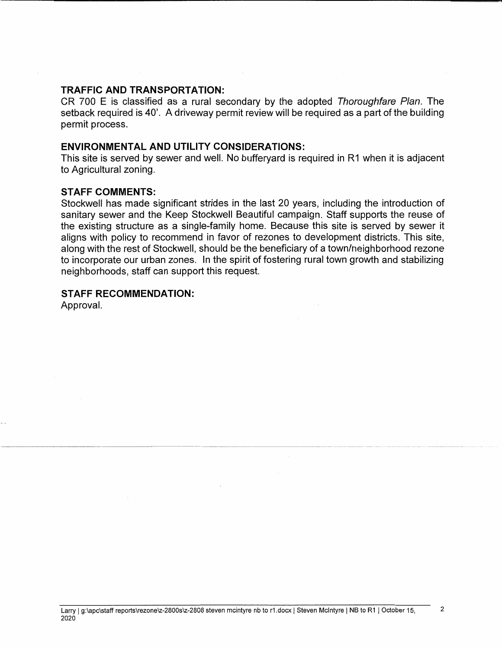# **TRAFFIC** AND **TRANSPORTATION:**

CR 700 E is classified as a **rural** secondary by the **adopted** *Thoroughfare Plan.* The setback required is 40'. A driveway permit review will be required as a part of the building permit process.

### ENVIRONMENTAL AND **UTILITY CONSIDERATIONS:**

This **site** is served by sewer and well. No bufferyard is required in R1 when it is adjacent to Agricultural zoning.

### **STAFF** COMMENTS:

Stockwell has made significant strides in the last 20 **years,** including the introduction of sanitary sewer and the Keep Stockwell Beautiful campaign. **Staff supports** the reuse of the existing structure as <sup>a</sup>single-family home. Because this site is **served** by sewer it **aligns** with policy to recommend in favor of reZones to development **districts.** This **site,**  along with the rest of Stockwell, should be the beneficiary of a town/neighborhood rezone to incorporate our urban zones. In the **spirit** of fostering rural town growth and stabilizing neighborhoods, staff can **support this** request.

# **STAFF** RECOMMENDATION:

Approval.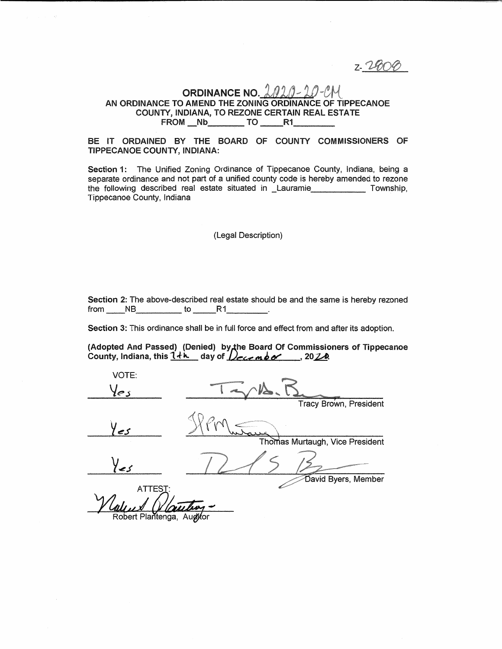z. 24004

# ORDINANCE NO.  $202.0 - 20 - 20$ AN ORDINANCE TO AMEND THE ZONING ORDINANCE OF TIPPECANOE COUNTY, INDIANA, TO REZONE CERTAIN REAL ESTATE FROM Nb TO R1

#### BE IT ORDAINED BY THE BOARD OF COUNTY COMMISSIONERS OF TIPPECANOE COUNTY, INDIANA:

Section 1: The Unified Zoning Ordinance of Tippecanoe County, Indiana, being a separate ordinance and not part of a unified county code is hereby amended to rezone the following described real estate situated in Lauramie Township. Tippecanoe County, Indiana

(Legal Description)

Section 2: The above-described real estate should be and the same is hereby rezoned  $from \tNB \tto \tB$  R1.

Section 3: This ordinance shall be in full force and effect from and after its adoption.

(Adopted And Passed) (Denied) by the Board Of Commissioners of Tippecanoe County, Indiana, this  $1+h$  day of  $Dec$   $nbc$   $n$ , 2020

VOTE: **Tracy Brown, President** Thomas Murtaugh, Vice President David Byers, Member **ATTEST** 

Robert Plantenga, Augitor